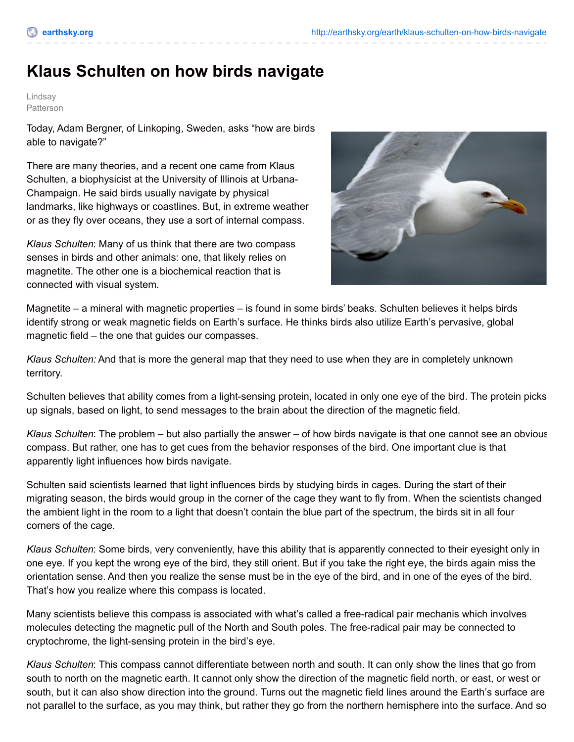## **Klaus Schulten on how birds navigate**

Lindsay Patterson

Today, Adam Bergner, of Linkoping, Sweden, asks "how are birds able to navigate?"

There are many theories, and a recent one came from Klaus Schulten, a biophysicist at the University of Illinois at Urbana-Champaign. He said birds usually navigate by physical landmarks, like highways or coastlines. But, in extreme weather or as they fly over oceans, they use a sort of internal compass.

*Klaus Schulten*: Many of us think that there are two compass senses in birds and other animals: one, that likely relies on magnetite. The other one is a biochemical reaction that is connected with visual system.



Magnetite – a mineral with magnetic properties – is found in some birds' beaks. Schulten believes it helps birds identify strong or weak magnetic fields on Earth's surface. He thinks birds also utilize Earth's pervasive, global magnetic field – the one that guides our compasses.

*Klaus Schulten:* And that is more the general map that they need to use when they are in completely unknown territory.

Schulten believes that ability comes from a light-sensing protein, located in only one eye of the bird. The protein picks up signals, based on light, to send messages to the brain about the direction of the magnetic field.

*Klaus Schulten*: The problem – but also partially the answer – of how birds navigate is that one cannot see an obvious compass. But rather, one has to get cues from the behavior responses of the bird. One important clue is that apparently light influences how birds navigate.

Schulten said scientists learned that light influences birds by studying birds in cages. During the start of their migrating season, the birds would group in the corner of the cage they want to fly from. When the scientists changed the ambient light in the room to a light that doesn't contain the blue part of the spectrum, the birds sit in all four corners of the cage.

*Klaus Schulten*: Some birds, very conveniently, have this ability that is apparently connected to their eyesight only in one eye. If you kept the wrong eye of the bird, they still orient. But if you take the right eye, the birds again miss the orientation sense. And then you realize the sense must be in the eye of the bird, and in one of the eyes of the bird. That's how you realize where this compass is located.

Many scientists believe this compass is associated with what's called a free-radical pair mechanis which involves molecules detecting the magnetic pull of the North and South poles. The free-radical pair may be connected to cryptochrome, the light-sensing protein in the bird's eye.

*Klaus Schulten*: This compass cannot differentiate between north and south. It can only show the lines that go from south to north on the magnetic earth. It cannot only show the direction of the magnetic field north, or east, or west or south, but it can also show direction into the ground. Turns out the magnetic field lines around the Earth's surface are not parallel to the surface, as you may think, but rather they go from the northern hemisphere into the surface. And so